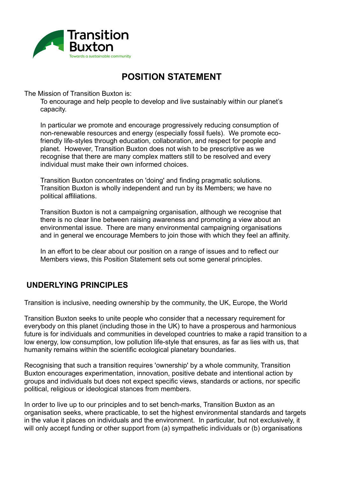

## **POSITION STATEMENT**

The Mission of Transition Buxton is:

To encourage and help people to develop and live sustainably within our planet's capacity.

In particular we promote and encourage progressively reducing consumption of non-renewable resources and energy (especially fossil fuels). We promote ecofriendly life-styles through education, collaboration, and respect for people and planet. However, Transition Buxton does not wish to be prescriptive as we recognise that there are many complex matters still to be resolved and every individual must make their own informed choices.

Transition Buxton concentrates on 'doing' and finding pragmatic solutions. Transition Buxton is wholly independent and run by its Members; we have no political affiliations.

Transition Buxton is not a campaigning organisation, although we recognise that there is no clear line between raising awareness and promoting a view about an environmental issue. There are many environmental campaigning organisations and in general we encourage Members to join those with which they feel an affinity.

In an effort to be clear about our position on a range of issues and to reflect our Members views, this Position Statement sets out some general principles.

## **UNDERLYING PRINCIPLES**

Transition is inclusive, needing ownership by the community, the UK, Europe, the World

Transition Buxton seeks to unite people who consider that a necessary requirement for everybody on this planet (including those in the UK) to have a prosperous and harmonious future is for individuals and communities in developed countries to make a rapid transition to a low energy, low consumption, low pollution life-style that ensures, as far as lies with us, that humanity remains within the scientific ecological planetary boundaries.

Recognising that such a transition requires 'ownership' by a whole community, Transition Buxton encourages experimentation, innovation, positive debate and intentional action by groups and individuals but does not expect specific views, standards or actions, nor specific political, religious or ideological stances from members.

In order to live up to our principles and to set bench-marks, Transition Buxton as an organisation seeks, where practicable, to set the highest environmental standards and targets in the value it places on individuals and the environment. In particular, but not exclusively, it will only accept funding or other support from (a) sympathetic individuals or (b) organisations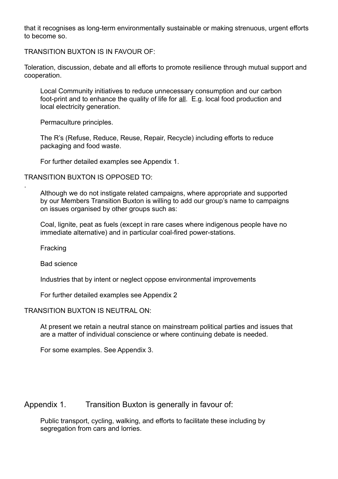that it recognises as long-term environmentally sustainable or making strenuous, urgent efforts to become so.

TRANSITION BUXTON IS IN FAVOUR OF:

Toleration, discussion, debate and all efforts to promote resilience through mutual support and cooperation.

Local Community initiatives to reduce unnecessary consumption and our carbon foot-print and to enhance the quality of life for all. E.g. local food production and local electricity generation.

Permaculture principles.

The R's (Refuse, Reduce, Reuse, Repair, Recycle) including efforts to reduce packaging and food waste.

For further detailed examples see Appendix 1.

TRANSITION BUXTON IS OPPOSED TO:

Although we do not instigate related campaigns, where appropriate and supported by our Members Transition Buxton is willing to add our group's name to campaigns on issues organised by other groups such as:

Coal, lignite, peat as fuels (except in rare cases where indigenous people have no immediate alternative) and in particular coal-fired power-stations.

Fracking

.

Bad science

Industries that by intent or neglect oppose environmental improvements

For further detailed examples see Appendix 2

TRANSITION BUXTON IS NEUTRAL ON:

At present we retain a neutral stance on mainstream political parties and issues that are a matter of individual conscience or where continuing debate is needed.

For some examples. See Appendix 3.

Appendix 1. Transition Buxton is generally in favour of:

Public transport, cycling, walking, and efforts to facilitate these including by segregation from cars and lorries.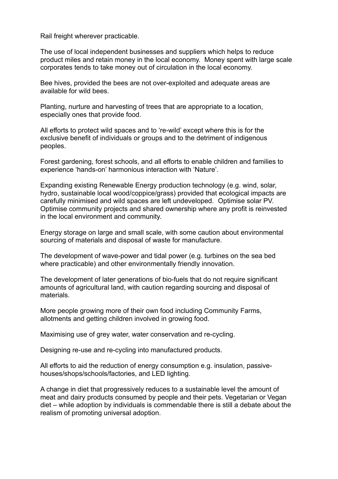Rail freight wherever practicable.

The use of local independent businesses and suppliers which helps to reduce product miles and retain money in the local economy. Money spent with large scale corporates tends to take money out of circulation in the local economy.

Bee hives, provided the bees are not over-exploited and adequate areas are available for wild bees.

Planting, nurture and harvesting of trees that are appropriate to a location, especially ones that provide food.

All efforts to protect wild spaces and to 're-wild' except where this is for the exclusive benefit of individuals or groups and to the detriment of indigenous peoples.

Forest gardening, forest schools, and all efforts to enable children and families to experience 'hands-on' harmonious interaction with 'Nature'.

Expanding existing Renewable Energy production technology (e.g. wind, solar, hydro, sustainable local wood/coppice/grass) provided that ecological impacts are carefully minimised and wild spaces are left undeveloped. Optimise solar PV. Optimise community projects and shared ownership where any profit is reinvested in the local environment and community.

Energy storage on large and small scale, with some caution about environmental sourcing of materials and disposal of waste for manufacture.

The development of wave-power and tidal power (e.g. turbines on the sea bed where practicable) and other environmentally friendly innovation.

The development of later generations of bio-fuels that do not require significant amounts of agricultural land, with caution regarding sourcing and disposal of materials.

More people growing more of their own food including Community Farms, allotments and getting children involved in growing food.

Maximising use of grey water, water conservation and re-cycling.

Designing re-use and re-cycling into manufactured products.

All efforts to aid the reduction of energy consumption e.g. insulation, passivehouses/shops/schools/factories, and LED lighting.

A change in diet that progressively reduces to a sustainable level the amount of meat and dairy products consumed by people and their pets. Vegetarian or Vegan diet – while adoption by individuals is commendable there is still a debate about the realism of promoting universal adoption.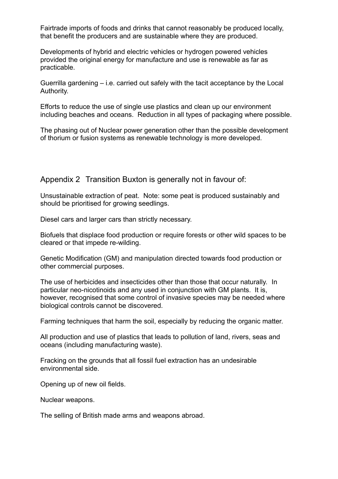Fairtrade imports of foods and drinks that cannot reasonably be produced locally, that benefit the producers and are sustainable where they are produced.

Developments of hybrid and electric vehicles or hydrogen powered vehicles provided the original energy for manufacture and use is renewable as far as practicable.

Guerrilla gardening – i.e. carried out safely with the tacit acceptance by the Local Authority.

Efforts to reduce the use of single use plastics and clean up our environment including beaches and oceans. Reduction in all types of packaging where possible.

The phasing out of Nuclear power generation other than the possible development of thorium or fusion systems as renewable technology is more developed.

Appendix 2 Transition Buxton is generally not in favour of:

Unsustainable extraction of peat. Note: some peat is produced sustainably and should be prioritised for growing seedlings.

Diesel cars and larger cars than strictly necessary.

Biofuels that displace food production or require forests or other wild spaces to be cleared or that impede re-wilding.

Genetic Modification (GM) and manipulation directed towards food production or other commercial purposes.

The use of herbicides and insecticides other than those that occur naturally. In particular neo-nicotinoids and any used in conjunction with GM plants. It is, however, recognised that some control of invasive species may be needed where biological controls cannot be discovered.

Farming techniques that harm the soil, especially by reducing the organic matter.

All production and use of plastics that leads to pollution of land, rivers, seas and oceans (including manufacturing waste).

Fracking on the grounds that all fossil fuel extraction has an undesirable environmental side.

Opening up of new oil fields.

Nuclear weapons.

The selling of British made arms and weapons abroad.